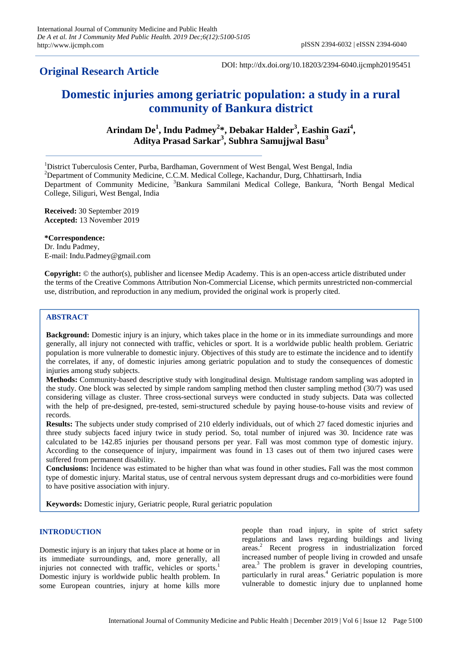## **Original Research Article**

DOI: http://dx.doi.org/10.18203/2394-6040.ijcmph20195451

# **Domestic injuries among geriatric population: a study in a rural community of Bankura district**

**Arindam De<sup>1</sup> , Indu Padmey<sup>2</sup> \*, Debakar Halder<sup>3</sup> , Eashin Gazi<sup>4</sup> , Aditya Prasad Sarkar<sup>3</sup> , Subhra Samujjwal Basu<sup>3</sup>**

<sup>1</sup>District Tuberculosis Center, Purba, Bardhaman, Government of West Bengal, West Bengal, India <sup>2</sup>Department of Community Medicine, C.C.M. Medical College, Kachandur, Durg, Chhattirsarh, India Department of Community Medicine, <sup>3</sup>Bankura Sammilani Medical College, Bankura, <sup>4</sup>North Bengal Medical College, Siliguri, West Bengal, India

**Received:** 30 September 2019 **Accepted:** 13 November 2019

**\*Correspondence:** Dr. Indu Padmey, E-mail: Indu.Padmey@gmail.com

**Copyright:** © the author(s), publisher and licensee Medip Academy. This is an open-access article distributed under the terms of the Creative Commons Attribution Non-Commercial License, which permits unrestricted non-commercial use, distribution, and reproduction in any medium, provided the original work is properly cited.

## **ABSTRACT**

**Background:** Domestic injury is an injury, which takes place in the home or in its immediate surroundings and more generally, all injury not connected with traffic, vehicles or sport. It is a worldwide public health problem. Geriatric population is more vulnerable to domestic injury. Objectives of this study are to estimate the incidence and to identify the correlates, if any, of domestic injuries among geriatric population and to study the consequences of domestic injuries among study subjects.

**Methods:** Community-based descriptive study with longitudinal design. Multistage random sampling was adopted in the study. One block was selected by simple random sampling method then cluster sampling method (30/7) was used considering village as cluster. Three cross-sectional surveys were conducted in study subjects. Data was collected with the help of pre-designed, pre-tested, semi-structured schedule by paying house-to-house visits and review of records.

**Results:** The subjects under study comprised of 210 elderly individuals, out of which 27 faced domestic injuries and three study subjects faced injury twice in study period. So, total number of injured was 30. Incidence rate was calculated to be 142.85 injuries per thousand persons per year. Fall was most common type of domestic injury. According to the consequence of injury, impairment was found in 13 cases out of them two injured cases were suffered from permanent disability.

**Conclusions:** Incidence was estimated to be higher than what was found in other studies**.** Fall was the most common type of domestic injury. Marital status, use of central nervous system depressant drugs and co-morbidities were found to have positive association with injury.

**Keywords:** Domestic injury, Geriatric people, Rural geriatric population

## **INTRODUCTION**

Domestic injury is an injury that takes place at home or in its immediate surroundings, and, more generally, all injuries not connected with traffic, vehicles or sports. $<sup>1</sup>$ </sup> Domestic injury is worldwide public health problem. In some European countries, injury at home kills more people than road injury, in spite of strict safety regulations and laws regarding buildings and living areas.<sup>2</sup> Recent progress in industrialization forced increased number of people living in crowded and unsafe area.<sup>3</sup> The problem is graver in developing countries, particularly in rural areas.<sup>4</sup> Geriatric population is more vulnerable to domestic injury due to unplanned home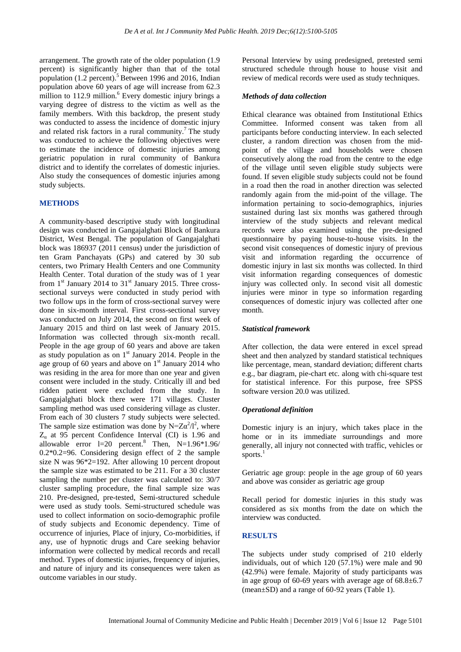arrangement. The growth rate of the older population (1.9 percent) is significantly higher than that of the total population  $(1.2 \text{ percent})$ .<sup>5</sup> Between 1996 and 2016, Indian population above 60 years of age will increase from 62.3 million to 112.9 million.<sup>6</sup> Every domestic injury brings a varying degree of distress to the victim as well as the family members. With this backdrop, the present study was conducted to assess the incidence of domestic injury and related risk factors in a rural community.<sup>7</sup> The study was conducted to achieve the following objectives were to estimate the incidence of domestic injuries among geriatric population in rural community of Bankura district and to identify the correlates of domestic injuries. Also study the consequences of domestic injuries among study subjects.

#### **METHODS**

A community-based descriptive study with longitudinal design was conducted in Gangajalghati Block of Bankura District, West Bengal. The population of Gangajalghati block was 186937 (2011 census) under the jurisdiction of ten Gram Panchayats (GPs) and catered by 30 sub centers, two Primary Health Centers and one Community Health Center. Total duration of the study was of 1 year from  $1<sup>st</sup>$  January 2014 to  $31<sup>st</sup>$  January 2015. Three crosssectional surveys were conducted in study period with two follow ups in the form of cross-sectional survey were done in six-month interval. First cross-sectional survey was conducted on July 2014, the second on first week of January 2015 and third on last week of January 2015. Information was collected through six-month recall. People in the age group of 60 years and above are taken as study population as on  $1<sup>st</sup>$  January 2014. People in the age group of 60 years and above on  $1<sup>st</sup>$  January 2014 who was residing in the area for more than one year and given consent were included in the study. Critically ill and bed ridden patient were excluded from the study. In Gangajalghati block there were 171 villages. Cluster sampling method was used considering village as cluster. From each of 30 clusters 7 study subjects were selected. The sample size estimation was done by N= $Z\alpha^2/l^2$ , where  $Z_{\alpha}$  at 95 percent Confidence Interval (CI) is 1.96 and allowable error  $l=20$  percent.<sup>8</sup> Then,  $N=1.96*1.96/$ 0.2\*0.2=96. Considering design effect of 2 the sample size N was 96\*2=192. After allowing 10 percent dropout the sample size was estimated to be 211. For a 30 cluster sampling the number per cluster was calculated to: 30/7 cluster sampling procedure, the final sample size was 210. Pre-designed, pre-tested, Semi-structured schedule were used as study tools. Semi-structured schedule was used to collect information on socio-demographic profile of study subjects and Economic dependency. Time of occurrence of injuries, Place of injury, Co-morbidities, if any, use of hypnotic drugs and Care seeking behavior information were collected by medical records and recall method. Types of domestic injuries, frequency of injuries, and nature of injury and its consequences were taken as outcome variables in our study.

Personal Interview by using predesigned, pretested semi structured schedule through house to house visit and review of medical records were used as study techniques.

#### *Methods of data collection*

Ethical clearance was obtained from Institutional Ethics Committee. Informed consent was taken from all participants before conducting interview. In each selected cluster, a random direction was chosen from the midpoint of the village and households were chosen consecutively along the road from the centre to the edge of the village until seven eligible study subjects were found. If seven eligible study subjects could not be found in a road then the road in another direction was selected randomly again from the mid-point of the village. The information pertaining to socio-demographics, injuries sustained during last six months was gathered through interview of the study subjects and relevant medical records were also examined using the pre-designed questionnaire by paying house-to-house visits. In the second visit consequences of domestic injury of previous visit and information regarding the occurrence of domestic injury in last six months was collected. In third visit information regarding consequences of domestic injury was collected only. In second visit all domestic injuries were minor in type so information regarding consequences of domestic injury was collected after one month.

## *Statistical framework*

After collection, the data were entered in excel spread sheet and then analyzed by standard statistical techniques like percentage, mean, standard deviation; different charts e.g., bar diagram, pie-chart etc. along with chi-square test for statistical inference. For this purpose, free SPSS software version 20.0 was utilized.

#### *Operational definition*

Domestic injury is an injury, which takes place in the home or in its immediate surroundings and more generally, all injury not connected with traffic, vehicles or sports.<sup>1</sup>

Geriatric age group: people in the age group of 60 years and above was consider as geriatric age group

Recall period for domestic injuries in this study was considered as six months from the date on which the interview was conducted.

## **RESULTS**

The subjects under study comprised of 210 elderly individuals, out of which 120 (57.1%) were male and 90 (42.9%) were female. Majority of study participants was in age group of 60-69 years with average age of  $68.8 \pm 6.7$ (mean±SD) and a range of 60-92 years (Table 1).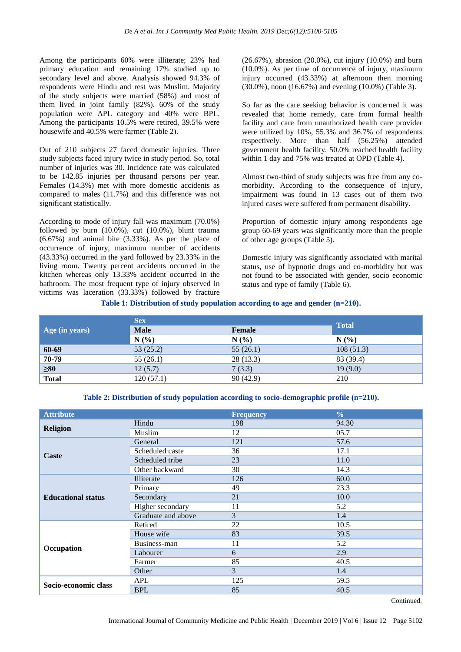Among the participants 60% were illiterate; 23% had primary education and remaining 17% studied up to secondary level and above. Analysis showed 94.3% of respondents were Hindu and rest was Muslim. Majority of the study subjects were married (58%) and most of them lived in joint family (82%). 60% of the study population were APL category and 40% were BPL. Among the participants 10.5% were retired, 39.5% were housewife and 40.5% were farmer (Table 2).

Out of 210 subjects 27 faced domestic injuries. Three study subjects faced injury twice in study period. So, total number of injuries was 30. Incidence rate was calculated to be 142.85 injuries per thousand persons per year. Females (14.3%) met with more domestic accidents as compared to males (11.7%) and this difference was not significant statistically.

According to mode of injury fall was maximum (70.0%) followed by burn (10.0%), cut (10.0%), blunt trauma (6.67%) and animal bite (3.33%). As per the place of occurrence of injury, maximum number of accidents (43.33%) occurred in the yard followed by 23.33% in the living room. Twenty percent accidents occurred in the kitchen whereas only 13.33% accident occurred in the bathroom. The most frequent type of injury observed in victims was laceration (33.33%) followed by fracture

(26.67%), abrasion (20.0%), cut injury (10.0%) and burn (10.0%). As per time of occurrence of injury, maximum injury occurred (43.33%) at afternoon then morning (30.0%), noon (16.67%) and evening (10.0%) (Table 3).

So far as the care seeking behavior is concerned it was revealed that home remedy, care from formal health facility and care from unauthorized health care provider were utilized by 10%, 55.3% and 36.7% of respondents respectively. More than half (56.25%) attended government health facility. 50.0% reached health facility within 1 day and 75% was treated at OPD (Table 4).

Almost two-third of study subjects was free from any comorbidity. According to the consequence of injury, impairment was found in 13 cases out of them two injured cases were suffered from permanent disability.

Proportion of domestic injury among respondents age group 60-69 years was significantly more than the people of other age groups (Table 5).

Domestic injury was significantly associated with marital status, use of hypnotic drugs and co-morbidity but was not found to be associated with gender, socio economic status and type of family (Table 6).

**Table 1: Distribution of study population according to age and gender (n=210).**

|                | <b>Sex</b>  | <b>Total</b> |           |  |
|----------------|-------------|--------------|-----------|--|
| Age (in years) | <b>Male</b> | Female       |           |  |
|                | N(%)        | N(%          | N(%       |  |
| 60-69          | 53 (25.2)   | 55(26.1)     | 108(51.3) |  |
| 70-79          | 55(26.1)    | 28(13.3)     | 83 (39.4) |  |
| $\geq 80$      | 12(5.7)     | 7(3.3)       | 19(9.0)   |  |
| <b>Total</b>   | 120(57.1)   | 90(42.9)     | 210       |  |

**Table 2: Distribution of study population according to socio-demographic profile (n=210).**

| <b>Attribute</b>          |                    | <b>Frequency</b> | $\frac{6}{6}$ |
|---------------------------|--------------------|------------------|---------------|
| <b>Religion</b>           | Hindu              | 198              | 94.30         |
|                           | Muslim             | 12               | 05.7          |
|                           | General            | 121              | 57.6          |
|                           | Scheduled caste    | 36               | 17.1          |
| Caste                     | Scheduled tribe    | 23               | 11.0          |
|                           | Other backward     | 30               | 14.3          |
|                           | Illiterate         | 126              | 60.0          |
|                           | Primary            | 49               | 23.3          |
| <b>Educational status</b> | Secondary          | 21               | 10.0          |
|                           | Higher secondary   | 11               | 5.2           |
|                           | Graduate and above | 3                | 1.4           |
| Occupation                | Retired            | 22               | 10.5          |
|                           | House wife         | 83               | 39.5          |
|                           | Business-man       | 11               | 5.2           |
|                           | Labourer           | 6                | 2.9           |
|                           | Farmer             | 85               | 40.5          |
|                           | Other              | 3                | 1.4           |
|                           | APL                | 125              | 59.5          |
| Socio-economic class      | <b>BPL</b>         | 85               | 40.5          |

**Continued.**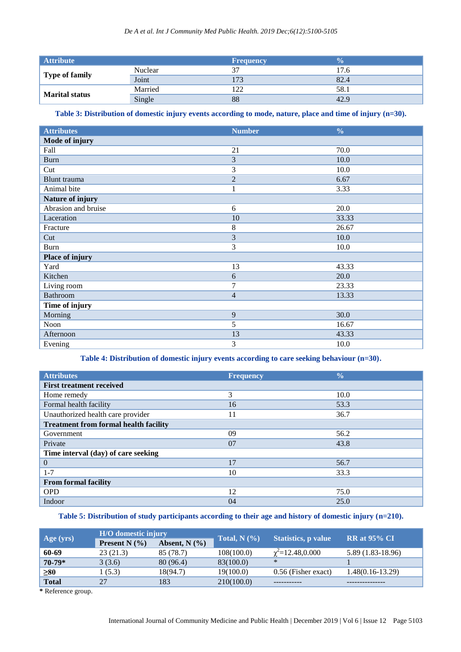| <b>Attribute</b>      |                | <b>Frequency</b> |      |
|-----------------------|----------------|------------------|------|
| Type of family        | <b>Nuclear</b> | 27               | 17.6 |
|                       | Joint          | 173              | 82.4 |
| <b>Marital status</b> | Married        | 122              | 58.1 |
|                       | Single         | 88               | 42.9 |

## **Table 3: Distribution of domestic injury events according to mode, nature, place and time of injury (n=30).**

| <b>Attributes</b>   | <b>Number</b>  | $\frac{0}{0}$ |
|---------------------|----------------|---------------|
| Mode of injury      |                |               |
| Fall                | 21             | 70.0          |
| <b>Burn</b>         | 3              | 10.0          |
| Cut                 | 3              | 10.0          |
| Blunt trauma        | $\overline{2}$ | 6.67          |
| Animal bite         | $\mathbf{1}$   | 3.33          |
| Nature of injury    |                |               |
| Abrasion and bruise | 6              | 20.0          |
| Laceration          | 10             | 33.33         |
| Fracture            | 8              | 26.67         |
| Cut                 | 3              | 10.0          |
| <b>Burn</b>         | 3              | 10.0          |
| Place of injury     |                |               |
| Yard                | 13             | 43.33         |
| Kitchen             | 6              | 20.0          |
| Living room         | 7              | 23.33         |
| <b>Bathroom</b>     | $\overline{4}$ | 13.33         |
| Time of injury      |                |               |
| Morning             | 9              | 30.0          |
| Noon                | 5              | 16.67         |
| Afternoon           | 13             | 43.33         |
| Evening             | 3              | 10.0          |

**Table 4: Distribution of domestic injury events according to care seeking behaviour (n=30).**

| <b>Attributes</b>                            | <b>Frequency</b> | $\frac{0}{0}$ |
|----------------------------------------------|------------------|---------------|
| <b>First treatment received</b>              |                  |               |
| Home remedy                                  | 3                | 10.0          |
| Formal health facility                       | 16               | 53.3          |
| Unauthorized health care provider            | 11               | 36.7          |
| <b>Treatment from formal health facility</b> |                  |               |
| Government                                   | 09               | 56.2          |
| Private                                      | 07               | 43.8          |
| Time interval (day) of care seeking          |                  |               |
| $\overline{0}$                               | 17               | 56.7          |
| $1 - 7$                                      | 10               | 33.3          |
| <b>From formal facility</b>                  |                  |               |
| <b>OPD</b>                                   | 12               | 75.0          |
| Indoor                                       | 04               | 25.0          |

## **Table 5: Distribution of study participants according to their age and history of domestic injury (n=210).**

|              | <b>H/O</b> domestic injury |                     |                    |                            | <b>RR</b> at 95% CI |  |
|--------------|----------------------------|---------------------|--------------------|----------------------------|---------------------|--|
| Age(yrs)     | <b>Present N</b> $(\%)$    | Absent, $N$ $(\% )$ | Total, $N$ $(\% )$ | <b>Statistics, p value</b> |                     |  |
| 60-69        | 23(21.3)                   | 85 (78.7)           | 108(100.0)         | $\chi^2$ =12.48,0.000      | 5.89 (1.83-18.96)   |  |
| $70-79*$     | 3(3.6)                     | 80 (96.4)           | 83(100.0)          | ∗                          |                     |  |
| $\geq 80$    | 1(5.3)                     | 18(94.7)            | 19(100.0)          | 0.56 (Fisher exact)        | 1.48(0.16-13.29)    |  |
| <b>Total</b> | 27                         | 183                 | 210(100.0)         |                            |                     |  |

**\*** Reference group.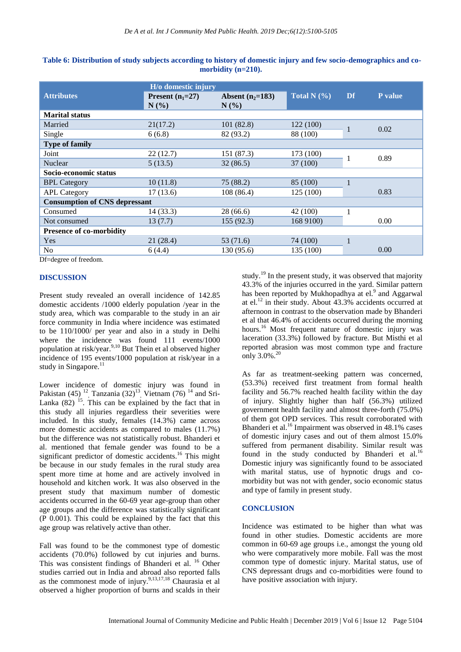|                                      | H/o domestic injury        |                               |                 |    |         |
|--------------------------------------|----------------------------|-------------------------------|-----------------|----|---------|
| <b>Attributes</b>                    | Present $(n_1=27)$<br>N(%) | Absent $(n_2=183)$<br>$N(\%)$ | Total N $(\% )$ | Df | P value |
| <b>Marital status</b>                |                            |                               |                 |    |         |
| Married                              | 21(17.2)                   | 101(82.8)                     | 122 (100)       |    | 0.02    |
| Single                               | 6(6.8)                     | 82 (93.2)                     | 88 (100)        |    |         |
| <b>Type of family</b>                |                            |                               |                 |    |         |
| Joint                                | 22(12.7)                   | 151 (87.3)                    | 173 (100)       |    | 0.89    |
| <b>Nuclear</b>                       | 5(13.5)                    | 32(86.5)                      | 37 (100)        |    |         |
| Socio-economic status                |                            |                               |                 |    |         |
| <b>BPL Category</b>                  | 10(11.8)                   | 75 (88.2)                     | 85 (100)        |    |         |
| <b>APL Category</b>                  | 17(13.6)                   | 108 (86.4)                    | 125(100)        |    | 0.83    |
| <b>Consumption of CNS depressant</b> |                            |                               |                 |    |         |
| Consumed                             | 14(33.3)                   | 28 (66.6)                     | 42 (100)        |    |         |
| Not consumed                         | 13(7.7)                    | 155(92.3)                     | 168 9100)       |    | 0.00    |
| <b>Presence of co-morbidity</b>      |                            |                               |                 |    |         |
| Yes                                  | 21(28.4)                   | 53 (71.6)                     | 74 (100)        |    |         |
| N <sub>o</sub>                       | 6(4.4)                     | 130 (95.6)                    | 135 (100)       |    | 0.00    |
| Df dogwoo of froodom                 |                            |                               |                 |    |         |

| Table 6: Distribution of study subjects according to history of domestic injury and few socio-demographics and co- |
|--------------------------------------------------------------------------------------------------------------------|
| morbidity $(n=210)$ .                                                                                              |

Df=degree of freedom.

## **DISCUSSION**

Present study revealed an overall incidence of 142.85 domestic accidents /1000 elderly population /year in the study area, which was comparable to the study in an air force community in India where incidence was estimated to be 110/1000/ per year and also in a study in Delhi where the incidence was found 111 events/1000 population at risk/year.<sup>9,10</sup> But Thein et al observed higher incidence of 195 events/1000 population at risk/year in a study in Singapore. $^{11}$ 

Lower incidence of domestic injury was found in Pakistan  $(45)$ <sup>12</sup>, Tanzania  $(32)$ <sup>13</sup>, Vietnam  $(76)$ <sup>14</sup> and Sri-Lanka  $(82)$  <sup>15</sup>. This can be explained by the fact that in this study all injuries regardless their severities were included. In this study, females (14.3%) came across more domestic accidents as compared to males (11.7%) but the difference was not statistically robust. Bhanderi et al. mentioned that female gender was found to be a significant predictor of domestic accidents.<sup>16</sup> This might be because in our study females in the rural study area spent more time at home and are actively involved in household and kitchen work. It was also observed in the present study that maximum number of domestic accidents occurred in the 60-69 year age-group than other age groups and the difference was statistically significant (P 0.001). This could be explained by the fact that this age group was relatively active than other.

Fall was found to be the commonest type of domestic accidents (70.0%) followed by cut injuries and burns. This was consistent findings of Bhanderi et al. <sup>16</sup> Other studies carried out in India and abroad also reported falls as the commonest mode of injury. $9,13,17,18$  Chaurasia et al observed a higher proportion of burns and scalds in their study.<sup>19</sup> In the present study, it was observed that majority 43.3% of the injuries occurred in the yard. Similar pattern has been reported by Mukhopadhya at el.<sup>9</sup> and Aggarwal at el.<sup>12</sup> in their study. About 43.3% accidents occurred at afternoon in contrast to the observation made by Bhanderi et al that 46.4% of accidents occurred during the morning hours.<sup>16</sup> Most frequent nature of domestic injury was laceration (33.3%) followed by fracture. But Misthi et al reported abrasion was most common type and fracture only 3.0%.<sup>20</sup>

As far as treatment-seeking pattern was concerned, (53.3%) received first treatment from formal health facility and 56.7% reached health facility within the day of injury. Slightly higher than half (56.3%) utilized government health facility and almost three-forth (75.0%) of them got OPD services. This result corroborated with Bhanderi et al.<sup>16</sup> Impairment was observed in 48.1% cases of domestic injury cases and out of them almost 15.0% suffered from permanent disability. Similar result was found in the study conducted by Bhanderi et al.<sup>16</sup> Domestic injury was significantly found to be associated with marital status, use of hypnotic drugs and comorbidity but was not with gender, socio economic status and type of family in present study.

## **CONCLUSION**

Incidence was estimated to be higher than what was found in other studies. Domestic accidents are more common in 60-69 age groups i.e., amongst the young old who were comparatively more mobile. Fall was the most common type of domestic injury. Marital status, use of CNS depressant drugs and co-morbidities were found to have positive association with injury.